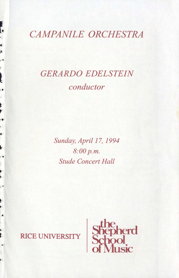# **CAMPANILE ORCHESTRA**

ŀ

 $\rightarrow$ 

ľ

Į

 $\cdot$ 

 $\ddot{\bullet}$ 

 $\frac{1}{2}$ 

ı.

# **GERARDO EDELSTEIN** conductor

Sunday, April 17, 1994 8:00 p.m. **Stude Concert Hall** 

## **RICE UNIVERSITY**

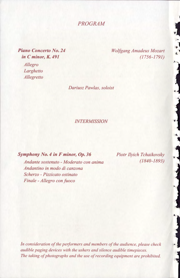*PROGRAM* 

*Piano Concerto No. 24 inC minor, K. 491* 

> *Allegro Larghetto Allegretto*

*Wolfgang Amadeus Mozart (1756-1791)* 

*Dariusz Paw/as, soloist* 

*INTERMISSION* 

*Symphony No.4 in F minor, Op. 36* 

*Andante sostenuto- Moderato con anima Andantino in modo di canzona Scherzo* - *Pizzicato ostinato Finale -Allegro con fuoco* 

*Piotr Ilyich Tchaikovsky (1840-1893)* 

*In consideration of the performers and members of the audience, please check audible paging devices with the ushers and silence audible timepieces. The taking of photographs and the use of recording equipment are prohibited.*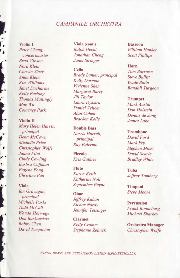## *CAMPANILE ORCHESTRA*

*Brad Gibson Janet Stringer Nora Klein Cello Horn**Horn**<b>Horn Horn Horn Horn Horn Horn Horn Horn Horn Horn Horn Horn Horn Horn Horn Horn Horn Horn Horn Horn Ho Corwin Slack* **Cello** *Tom Barrows Kelly Furlong Margaret Barry <b><i>Margaret Barry All Taylor* 

*Mary Helen Harris,* **Double Bass** *principal Morris Harris principal Norris Harrell,* **Trombone** *Principal Norris Harrell, <i>Prombone Prombone Prombone Principal Prombone Prombone Prombone Prombone Prombone Prombone Prombone Prombone Prombone Pro Dena McCown principal David Ford Michelle Price*<br> *Ray Palermo Mark Fry*<br> *Christopher Wolfe Ray Palermo Moss Stephen Moss Christopher Wolfe Janna Flint* **Piccolo** *David Searle Cindy Cowling Kris Guthrie Bradley White*  **Flute** *Eugene Fong* **<b>Flute** *Flute Tuba Tuba* 

*Ian Gravagne,* **Oboe** *Steve Moore principal Letters Letters Letters Letters Letters Letters Letters Letters Letters Letters Letters Letters Letters Letters Letters Letters Letters Le principal Jeffrey Kahan Michelle Parks Elenor Nardy* **Percussion**  *Don Barkauskas* **Clarinet** 

**Violin I Viola (cont.) Bassoon**  *Peter Cheng, Ralph Hecht William Hunker concertmaster Jonathan Cheng Scott Phillips* 

*Anna Klein Brady Lanier, principal Steve Bullitt Kim Williams Kelly Dorman Wade Butin Janet Ducharme <i>Vivienne Shen Randall Turgeon Kelly Europe Thomas Mattingly <i>Jill Taylor* **<b>***Trumpet* <br>*Laura Dvkstra Mark And Mark MaeWu Laura Dykstra Mark Austin Courtney Park Daniel Velicer Don Holstein Alan Cohen Dennis de Jong* 

*Christine Pan Karen Keith Jeffrey Tomberg Katherine Noll*  **Viola** *September Payne* **Timpani** 

*Bobby Chen Kelly Cramm* **Orchestra Manager** 

**Violin II** *Bracken Kolle James Lake* 

*Todd McCall Jennifer Teisinger Frank Ronneburg Michael Sharkey* 

*David Templeton Stephanie Zelnick Christopher Wolfe* 

*WINDS, BRASS, AND PERCUSSION LISTED ALPHABETICALLY.*